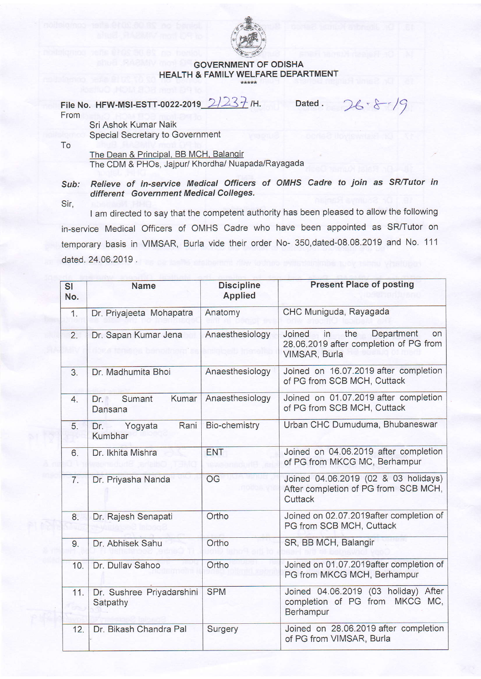

## GOVERNMENT OF ODISHA HEALTH & FAMILY WELFARE DEPARTMENT

File No. HFW-MSI-ESTT-0022-2019  $2/237$  /H. Dated . 26 · 8 /9 From

Sri Ashok Kumar Naik Special Secretary to Government

To

The Dean & Principal, BB MCH, Balangir The CDM & PHOs, Jajpur/ Khordha/ Nuapada/Rayagada

## Sub: Relieve of in-service Medical Officers of OMHS Cadre to join as SR/Tutor in different Government Medical Colleges.

Sir,

I am directed to say that the competent authority has been pleased to allow the following in-service Medical Officers of OMHS Cadre who have been appointed as SR/Tutor on temporary basis in VIMSAR, Burla vide their order No- 350,dated-08.08.2019 and No. 111 dated.24.06.2019.

| <b>SI</b><br>No. | <b>Name</b>                            | <b>Discipline</b><br><b>Applied</b> | <b>Present Place of posting</b>                                                                           |
|------------------|----------------------------------------|-------------------------------------|-----------------------------------------------------------------------------------------------------------|
| 1.               | Dr. Priyajeeta Mohapatra               | Anatomy                             | CHC Muniguda, Rayagada                                                                                    |
| 2.               | Dr. Sapan Kumar Jena                   | Anaesthesiology                     | Department<br>the<br>Joined<br>in<br><b>on</b><br>28.06.2019 after completion of PG from<br>VIMSAR, Burla |
| 3.               | Dr. Madhumita Bhoi                     | Anaesthesiology                     | Joined on 16.07.2019 after completion<br>of PG from SCB MCH, Cuttack                                      |
| 4.               | Kumar<br>Sumant<br>$Dr_{1}$<br>Dansana | Anaesthesiology                     | Joined on 01.07.2019 after completion<br>of PG from SCB MCH, Cuttack                                      |
| 5.               | Rani<br>Yogyata<br>Dr.<br>Kumbhar      | <b>Bio-chemistry</b>                | Urban CHC Dumuduma, Bhubaneswar                                                                           |
| 6.               | Dr. Ikhita Mishra                      | <b>ENT</b>                          | Joined on 04.06.2019 after completion<br>of PG from MKCG MC, Berhampur                                    |
| 7.               | Dr. Priyasha Nanda                     | OG                                  | Joined 04.06.2019 (02 & 03 holidays)<br>After completion of PG from SCB MCH,<br>Cuttack                   |
| 8.               | Dr. Rajesh Senapati                    | Ortho                               | Joined on 02.07.2019after completion of<br>PG from SCB MCH, Cuttack                                       |
| 9.               | Dr. Abhisek Sahu                       | Ortho                               | SR, BB MCH, Balangir                                                                                      |
| 10.              | Dr. Dullav Sahoo                       | Ortho                               | Joined on 01.07.2019 after completion of<br>PG from MKCG MCH, Berhampur                                   |
| 11.              | Dr. Sushree Priyadarshini<br>Satpathy  | <b>SPM</b>                          | Joined 04.06.2019 (03 holiday) After<br>completion of PG from MKCG MC,<br>Berhampur                       |
| 12.              | Dr. Bikash Chandra Pal                 | Surgery                             | Joined on 28.06.2019 after completion<br>of PG from VIMSAR, Burla                                         |